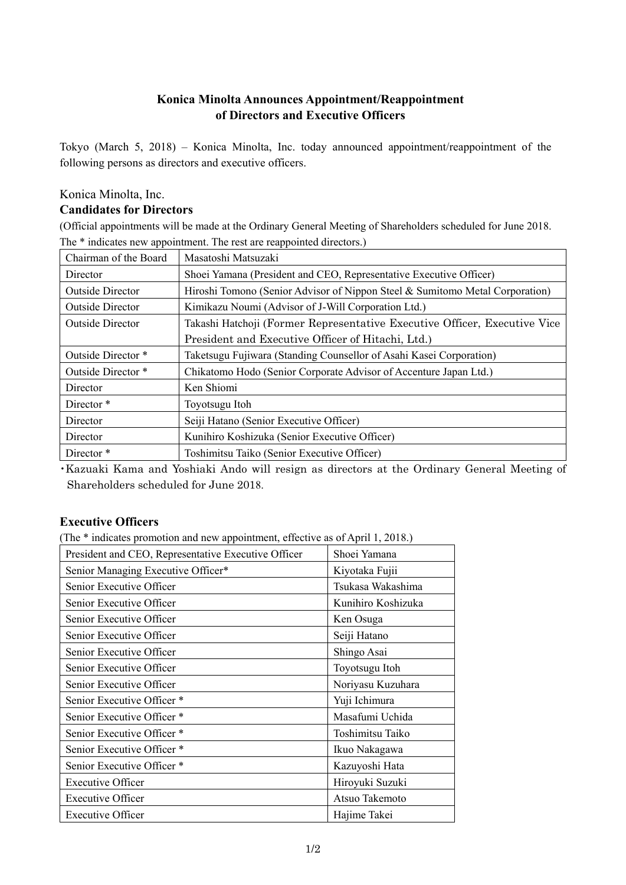# **Konica Minolta Announces Appointment/Reappointment of Directors and Executive Officers**

Tokyo (March 5, 2018) – Konica Minolta, Inc. today announced appointment/reappointment of the following persons as directors and executive officers.

#### Konica Minolta, Inc.

### **Candidates for Directors**

(Official appointments will be made at the Ordinary General Meeting of Shareholders scheduled for June 2018. The \* indicates new appointment. The rest are reappointed directors.)

| Chairman of the Board   | Masatoshi Matsuzaki                                                          |
|-------------------------|------------------------------------------------------------------------------|
| Director                | Shoei Yamana (President and CEO, Representative Executive Officer)           |
| <b>Outside Director</b> | Hiroshi Tomono (Senior Advisor of Nippon Steel & Sumitomo Metal Corporation) |
| <b>Outside Director</b> | Kimikazu Noumi (Advisor of J-Will Corporation Ltd.)                          |
| <b>Outside Director</b> | Takashi Hatchoji (Former Representative Executive Officer, Executive Vice    |
|                         | President and Executive Officer of Hitachi, Ltd.)                            |
| Outside Director *      | Taketsugu Fujiwara (Standing Counsellor of Asahi Kasei Corporation)          |
| Outside Director *      | Chikatomo Hodo (Senior Corporate Advisor of Accenture Japan Ltd.)            |
| Director                | Ken Shiomi                                                                   |
| Director <sup>*</sup>   | Toyotsugu Itoh                                                               |
| Director                | Seiji Hatano (Senior Executive Officer)                                      |
| Director                | Kunihiro Koshizuka (Senior Executive Officer)                                |
| Director <sup>*</sup>   | Toshimitsu Taiko (Senior Executive Officer)                                  |

・Kazuaki Kama and Yoshiaki Ando will resign as directors at the Ordinary General Meeting of Shareholders scheduled for June 2018.

## **Executive Officers**

(The \* indicates promotion and new appointment, effective as of April 1, 2018.)

| President and CEO, Representative Executive Officer | Shoei Yamana       |
|-----------------------------------------------------|--------------------|
| Senior Managing Executive Officer*                  | Kiyotaka Fujii     |
| Senior Executive Officer                            | Tsukasa Wakashima  |
| Senior Executive Officer                            | Kunihiro Koshizuka |
| Senior Executive Officer                            | Ken Osuga          |
| Senior Executive Officer                            | Seiji Hatano       |
| Senior Executive Officer                            | Shingo Asai        |
| Senior Executive Officer                            | Toyotsugu Itoh     |
| Senior Executive Officer                            | Noriyasu Kuzuhara  |
| Senior Executive Officer *                          | Yuji Ichimura      |
| Senior Executive Officer *                          | Masafumi Uchida    |
| Senior Executive Officer *                          | Toshimitsu Taiko   |
| Senior Executive Officer *                          | Ikuo Nakagawa      |
| Senior Executive Officer *                          | Kazuyoshi Hata     |
| <b>Executive Officer</b>                            | Hiroyuki Suzuki    |
| <b>Executive Officer</b>                            | Atsuo Takemoto     |
| <b>Executive Officer</b>                            | Hajime Takei       |